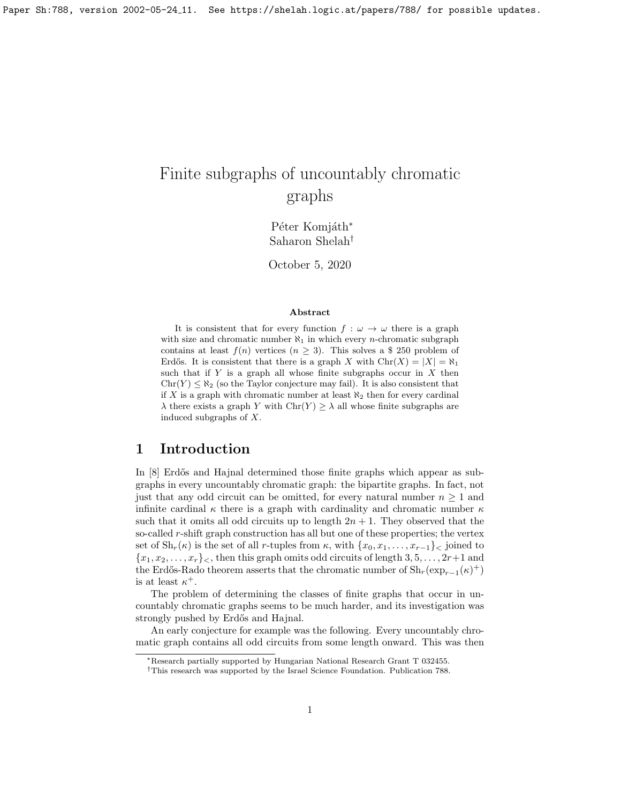# Finite subgraphs of uncountably chromatic graphs

Péter Komjáth\* Saharon Shelah†

October 5, 2020

#### Abstract

It is consistent that for every function  $f : \omega \to \omega$  there is a graph with size and chromatic number  $\aleph_1$  in which every *n*-chromatic subgraph contains at least  $f(n)$  vertices  $(n \geq 3)$ . This solves a \$ 250 problem of Erdős. It is consistent that there is a graph X with  $\text{Chr}(X) = |X| = \aleph_1$ such that if  $Y$  is a graph all whose finite subgraphs occur in  $X$  then  $\text{Chr}(Y) \leq \aleph_2$  (so the Taylor conjecture may fail). It is also consistent that if X is a graph with chromatic number at least  $\aleph_2$  then for every cardinal  $\lambda$  there exists a graph Y with  $\text{Chr}(Y) \geq \lambda$  all whose finite subgraphs are induced subgraphs of X.

# 1 Introduction

In [\[8\]](#page-9-0) Erdős and Hajnal determined those finite graphs which appear as subgraphs in every uncountably chromatic graph: the bipartite graphs. In fact, not just that any odd circuit can be omitted, for every natural number  $n \geq 1$  and infinite cardinal  $\kappa$  there is a graph with cardinality and chromatic number  $\kappa$ such that it omits all odd circuits up to length  $2n + 1$ . They observed that the so-called r-shift graph construction has all but one of these properties; the vertex set of  $\text{Sh}_r(\kappa)$  is the set of all r-tuples from  $\kappa$ , with  $\{x_0, x_1, \ldots, x_{r-1}\}$  joined to  ${x_1, x_2, \ldots, x_r}$ , then this graph omits odd circuits of length 3, 5, ..., 2r+1 and the Erdős-Rado theorem asserts that the chromatic number of  $\mathrm{Sh}_r(\exp_{r-1}(\kappa)^+)$ is at least  $\kappa^+$ .

The problem of determining the classes of finite graphs that occur in uncountably chromatic graphs seems to be much harder, and its investigation was strongly pushed by Erdős and Hajnal.

An early conjecture for example was the following. Every uncountably chromatic graph contains all odd circuits from some length onward. This was then

<sup>∗</sup>Research partially supported by Hungarian National Research Grant T 032455.

<sup>†</sup>This research was supported by the Israel Science Foundation. Publication 788.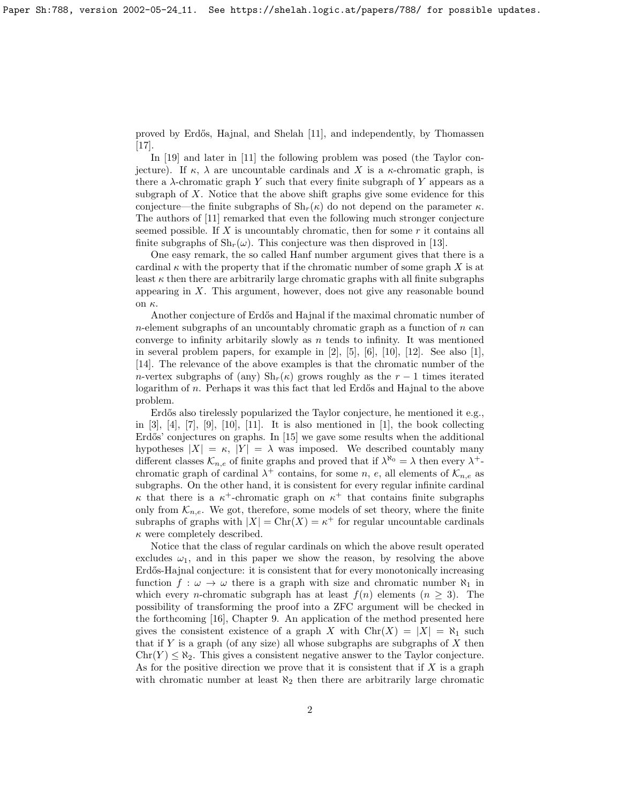proved by Erd˝os, Hajnal, and Shelah [\[11\]](#page-9-1), and independently, by Thomassen [\[17\]](#page-10-0).

In [\[19\]](#page-10-1) and later in [\[11\]](#page-9-1) the following problem was posed (the Taylor conjecture). If  $\kappa$ ,  $\lambda$  are uncountable cardinals and X is a  $\kappa$ -chromatic graph, is there a  $\lambda$ -chromatic graph Y such that every finite subgraph of Y appears as a subgraph of  $X$ . Notice that the above shift graphs give some evidence for this conjecture—the finite subgraphs of  $\mathrm{Sh}_r(\kappa)$  do not depend on the parameter  $\kappa$ . The authors of [\[11\]](#page-9-1) remarked that even the following much stronger conjecture seemed possible. If X is uncountably chromatic, then for some  $r$  it contains all finite subgraphs of  $\mathrm{Sh}_r(\omega)$ . This conjecture was then disproved in [\[13\]](#page-9-2).

One easy remark, the so called Hanf number argument gives that there is a cardinal  $\kappa$  with the property that if the chromatic number of some graph X is at least  $\kappa$  then there are arbitrarily large chromatic graphs with all finite subgraphs appearing in X. This argument, however, does not give any reasonable bound on κ.

Another conjecture of Erdős and Hajnal if the maximal chromatic number of  $n$ -element subgraphs of an uncountably chromatic graph as a function of  $n$  can converge to infinity arbitrarily slowly as  $n$  tends to infinity. It was mentioned in several problem papers, for example in  $[2]$ ,  $[5]$ ,  $[6]$ ,  $[10]$ ,  $[12]$ . See also  $[1]$ , [\[14\]](#page-10-2). The relevance of the above examples is that the chromatic number of the n-vertex subgraphs of (any)  $\text{Sh}_r(\kappa)$  grows roughly as the  $r-1$  times iterated logarithm of n. Perhaps it was this fact that led Erdős and Hajnal to the above problem.

Erdős also tirelessly popularized the Taylor conjecture, he mentioned it e.g., in  $[3]$ ,  $[4]$ ,  $[7]$ ,  $[9]$ ,  $[10]$ ,  $[11]$ . It is also mentioned in  $[1]$ , the book collecting Erdős' conjectures on graphs. In [\[15\]](#page-10-3) we gave some results when the additional hypotheses  $|X| = \kappa$ ,  $|Y| = \lambda$  was imposed. We described countably many different classes  $\mathcal{K}_{n,e}$  of finite graphs and proved that if  $\lambda^{\aleph_0} = \lambda$  then every  $\lambda^+$ chromatic graph of cardinal  $\lambda^+$  contains, for some n, e, all elements of  $\mathcal{K}_{n,e}$  as subgraphs. On the other hand, it is consistent for every regular infinite cardinal  $\kappa$  that there is a  $\kappa^+$ -chromatic graph on  $\kappa^+$  that contains finite subgraphs only from  $\mathcal{K}_{n,e}$ . We got, therefore, some models of set theory, where the finite subraphs of graphs with  $|X| = \text{Chr}(X) = \kappa^+$  for regular uncountable cardinals  $\kappa$  were completely described.

Notice that the class of regular cardinals on which the above result operated excludes  $\omega_1$ , and in this paper we show the reason, by resolving the above Erdős-Hajnal conjecture: it is consistent that for every monotonically increasing function  $f : \omega \to \omega$  there is a graph with size and chromatic number  $\aleph_1$  in which every *n*-chromatic subgraph has at least  $f(n)$  elements  $(n \geq 3)$ . The possibility of transforming the proof into a ZFC argument will be checked in the forthcoming [\[16\]](#page-10-4), Chapter 9. An application of the method presented here gives the consistent existence of a graph X with  $\text{Chr}(X) = |X| = \aleph_1$  such that if Y is a graph (of any size) all whose subgraphs are subgraphs of  $X$  then  $\text{Chr}(Y) \leq \aleph_2$ . This gives a consistent negative answer to the Taylor conjecture. As for the positive direction we prove that it is consistent that if  $X$  is a graph with chromatic number at least  $\aleph_2$  then there are arbitrarily large chromatic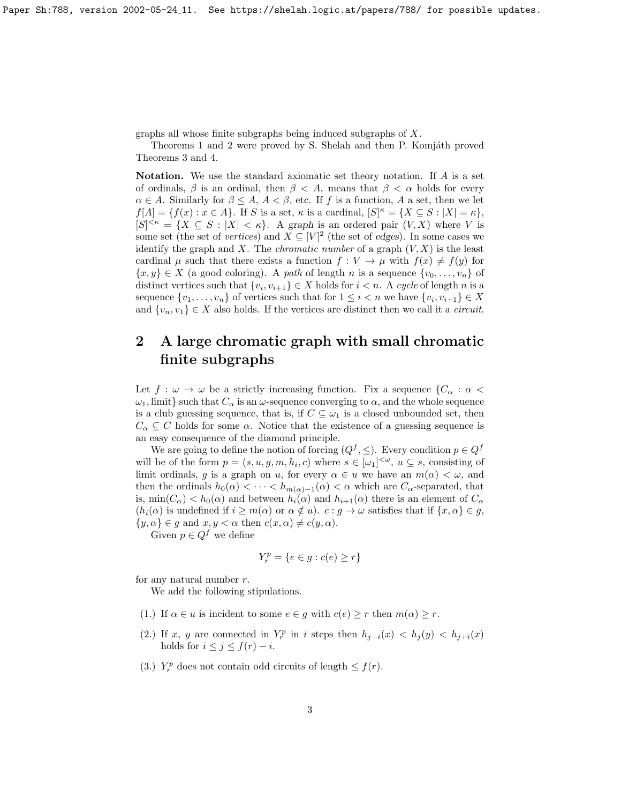graphs all whose finite subgraphs being induced subgraphs of X.

Theorems 1 and 2 were proved by S. Shelah and then P. Komjáth proved Theorems 3 and 4.

Notation. We use the standard axiomatic set theory notation. If A is a set of ordinals,  $\beta$  is an ordinal, then  $\beta < A$ , means that  $\beta < \alpha$  holds for every  $\alpha \in A$ . Similarly for  $\beta \leq A$ ,  $A < \beta$ , etc. If f is a function, A a set, then we let  $f[A] = \{f(x) : x \in A\}.$  If S is a set,  $\kappa$  is a cardinal,  $[S]^{\kappa} = \{X \subseteq S : |X| = \kappa\},\$  $[S]^{<\kappa} = \{X \subseteq S : |X| < \kappa\}.$  A graph is an ordered pair  $(V, X)$  where V is some set (the set of *vertices*) and  $X \subseteq [V]^2$  (the set of edges). In some cases we identify the graph and X. The *chromatic number* of a graph  $(V, X)$  is the least cardinal  $\mu$  such that there exists a function  $f: V \to \mu$  with  $f(x) \neq f(y)$  for  $\{x, y\} \in X$  (a good coloring). A path of length n is a sequence  $\{v_0, \ldots, v_n\}$  of distinct vertices such that  $\{v_i, v_{i+1}\} \in X$  holds for  $i < n$ . A cycle of length n is a sequence  $\{v_1, \ldots, v_n\}$  of vertices such that for  $1 \leq i < n$  we have  $\{v_i, v_{i+1}\} \in X$ and  $\{v_n, v_1\} \in X$  also holds. If the vertices are distinct then we call it a *circuit*.

# 2 A large chromatic graph with small chromatic finite subgraphs

Let  $f : \omega \to \omega$  be a strictly increasing function. Fix a sequence  ${C_{\alpha} : \alpha <$  $\omega_1$ , limit} such that  $C_\alpha$  is an  $\omega$ -sequence converging to  $\alpha$ , and the whole sequence is a club guessing sequence, that is, if  $C \subseteq \omega_1$  is a closed unbounded set, then  $C_{\alpha} \subseteq C$  holds for some  $\alpha$ . Notice that the existence of a guessing sequence is an easy consequence of the diamond principle.

We are going to define the notion of forcing  $(Q^f, \leq)$ . Every condition  $p \in Q^f$ will be of the form  $p = (s, u, g, m, h_i, c)$  where  $s \in [\omega_1]^{<\omega}$ ,  $u \subseteq s$ , consisting of limit ordinals, g is a graph on u, for every  $\alpha \in u$  we have an  $m(\alpha) < \omega$ , and then the ordinals  $h_0(\alpha) < \cdots < h_{m(\alpha)-1}(\alpha) < \alpha$  which are  $C_{\alpha}$ -separated, that is,  $\min(C_\alpha)$  <  $h_0(\alpha)$  and between  $h_i(\alpha)$  and  $h_{i+1}(\alpha)$  there is an element of  $C_\alpha$  $(h_i(\alpha)$  is undefined if  $i \geq m(\alpha)$  or  $\alpha \notin u$ ).  $c : g \to \omega$  satisfies that if  $\{x, \alpha\} \in g$ ,  $\{y, \alpha\} \in g$  and  $x, y < \alpha$  then  $c(x, \alpha) \neq c(y, \alpha)$ .

Given  $p \in Q^f$  we define

$$
Y_r^p = \{e \in g : c(e) \ge r\}
$$

for any natural number  $r$ .

We add the following stipulations.

- (1.) If  $\alpha \in u$  is incident to some  $e \in g$  with  $c(e) \geq r$  then  $m(\alpha) \geq r$ .
- (2.) If x, y are connected in  $Y_r^p$  in i steps then  $h_{j-i}(x) < h_j(y) < h_{j+i}(x)$ holds for  $i \leq j \leq f(r) - i$ .
- (3.)  $Y_r^p$  does not contain odd circuits of length  $\leq f(r)$ .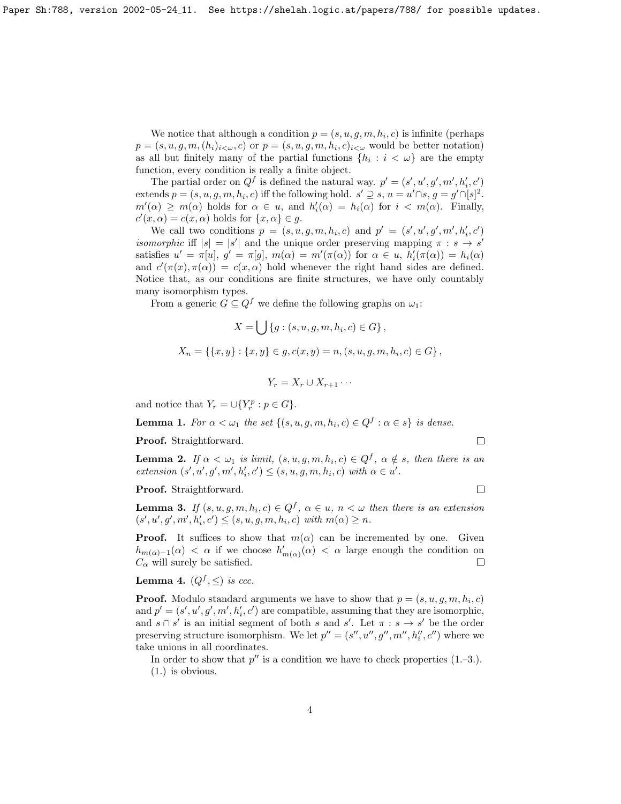We notice that although a condition  $p = (s, u, g, m, h_i, c)$  is infinite (perhaps  $p = (s, u, g, m, (h_i)_{i \leq \omega}, c)$  or  $p = (s, u, g, m, h_i, c)_{i \leq \omega}$  would be better notation) as all but finitely many of the partial functions  $\{h_i : i < \omega\}$  are the empty function, every condition is really a finite object.

The partial order on  $Q^f$  is defined the natural way.  $p' = (s', u', g', m', h'_i, c')$ extends  $p = (s, u, g, m, h_i, c)$  iff the following hold.  $s' \supseteq s$ ,  $u = u' \cap s$ ,  $g = g' \cap [s]^2$ .  $m'(\alpha) \geq m(\alpha)$  holds for  $\alpha \in u$ , and  $h'_i(\alpha) = h_i(\alpha)$  for  $i < m(\alpha)$ . Finally,  $c'(x, \alpha) = c(x, \alpha)$  holds for  $\{x, \alpha\} \in g$ .

We call two conditions  $p = (s, u, g, m, h_i, c)$  and  $p' = (s', u', g', m', h'_i, c')$ isomorphic iff  $|s| = |s'|$  and the unique order preserving mapping  $\pi : s \to s'$ satisfies  $u' = \pi[u], g' = \pi[g], m(\alpha) = m'(\pi(\alpha))$  for  $\alpha \in u, h'_{i}(\pi(\alpha)) = h_{i}(\alpha)$ and  $c'(\pi(x), \pi(\alpha)) = c(x, \alpha)$  hold whenever the right hand sides are defined. Notice that, as our conditions are finite structures, we have only countably many isomorphism types.

From a generic  $G \subseteq Q^f$  we define the following graphs on  $\omega_1$ :

$$
X = \bigcup \{g : (s, u, g, m, h_i, c) \in G\},\
$$
  

$$
X_n = \{\{x, y\} : \{x, y\} \in g, c(x, y) = n, (s, u, g, m, h_i, c) \in G\},\
$$
  

$$
Y_r = X_r \cup X_{r+1} \cdots
$$

and notice that  $Y_r = \bigcup \{ Y_r^p : p \in G \}.$ 

**Lemma 1.** For  $\alpha < \omega_1$  the set  $\{(s, u, g, m, h_i, c) \in Q^f : \alpha \in s\}$  is dense.

Proof. Straightforward.

**Lemma 2.** If  $\alpha < \omega_1$  is limit,  $(s, u, g, m, h_i, c) \in Q^f$ ,  $\alpha \notin s$ , then there is an  $extension(s', u', g', m', h'_i, c') \leq (s, u, g, m, h_i, c) \text{ with } \alpha \in u'.$ 

Proof. Straightforward.

**Lemma 3.** If  $(s, u, g, m, h_i, c) \in Q^f$ ,  $\alpha \in u$ ,  $n < \omega$  then there is an extension  $(s', u', g', m', h'_i, c') \leq (s, u, g, m, h_i, c) \text{ with } m(\alpha) \geq n.$ 

**Proof.** It suffices to show that  $m(\alpha)$  can be incremented by one. Given  $h_{m(\alpha)-1}(\alpha) < \alpha$  if we choose  $h'_{m(\alpha)}(\alpha) < \alpha$  large enough the condition on  $C_{\alpha}$  will surely be satisfied.  $\Box$ 

**Lemma 4.**  $(Q^f, \leq)$  is ccc.

**Proof.** Modulo standard arguments we have to show that  $p = (s, u, g, m, h_i, c)$ and  $p' = (s', u', g', m', h'_i, c')$  are compatible, assuming that they are isomorphic, and  $s \cap s'$  is an initial segment of both s and s'. Let  $\pi : s \to s'$  be the order preserving structure isomorphism. We let  $p'' = (s'', u'', g'', m'', h''_i, c'')$  where we take unions in all coordinates.

In order to show that  $p''$  is a condition we have to check properties  $(1,-3.)$ . (1.) is obvious.

 $\Box$ 

 $\Box$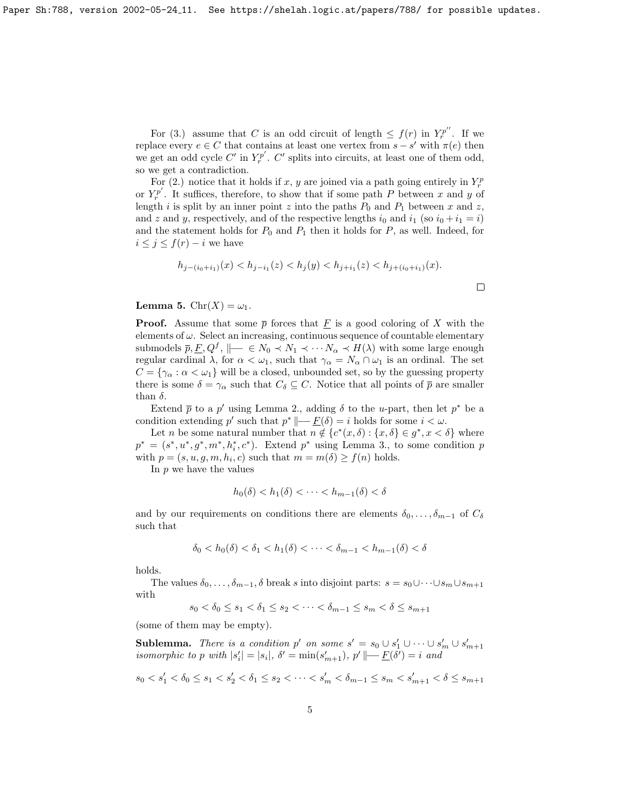For (3.) assume that C is an odd circuit of length  $\leq f(r)$  in  $Y_r^{p''}$ . If we replace every  $e \in C$  that contains at least one vertex from  $s - s'$  with  $\pi(e)$  then we get an odd cycle  $C'$  in  $Y_r^{p'}$ .  $C'$  splits into circuits, at least one of them odd, so we get a contradiction.

For (2.) notice that it holds if x, y are joined via a path going entirely in  $Y_r^p$ or  $Y_r^{p'}$ . It suffices, therefore, to show that if some path P between x and y of length i is split by an inner point z into the paths  $P_0$  and  $P_1$  between x and z, and z and y, respectively, and of the respective lengths  $i_0$  and  $i_1$  (so  $i_0 + i_1 = i$ ) and the statement holds for  $P_0$  and  $P_1$  then it holds for  $P$ , as well. Indeed, for  $i \leq j \leq f(r) - i$  we have

$$
h_{j-(i_0+i_1)}(x) < h_{j-i_1}(z) < h_j(y) < h_{j+i_1}(z) < h_{j+(i_0+i_1)}(x).
$$

 $\Box$ 

**Lemma 5.**  $\text{Chr}(X) = \omega_1$ .

**Proof.** Assume that some  $\bar{p}$  forces that F is a good coloring of X with the elements of  $\omega$ . Select an increasing, continuous sequence of countable elementary submodels  $\bar{p}, \underline{F}, Q^f$ ,  $\|\underline{\hspace{0.2cm}} - \in N_0 \prec N_1 \prec \cdots N_\alpha \prec H(\lambda)$  with some large enough regular cardinal  $\lambda$ , for  $\alpha < \omega_1$ , such that  $\gamma_\alpha = N_\alpha \cap \omega_1$  is an ordinal. The set  $C = {\gamma_{\alpha} : \alpha < \omega_1}$  will be a closed, unbounded set, so by the guessing property there is some  $\delta = \gamma_\alpha$  such that  $C_\delta \subseteq C$ . Notice that all points of  $\overline{p}$  are smaller than  $\delta$ .

Extend  $\bar{p}$  to a p' using Lemma 2., adding  $\delta$  to the u-part, then let  $p^*$  be a condition extending p' such that  $p^* \|\_\_\underline{F}(\delta) = i$  holds for some  $i < \omega$ .

Let *n* be some natural number that  $n \notin \{c^*(x, \delta) : \{x, \delta\} \in g^*, x < \delta\}$  where  $p^* = (s^*, u^*, g^*, m^*, h_i^*, c^*)$ . Extend  $p^*$  using Lemma 3., to some condition p with  $p = (s, u, g, m, h_i, c)$  such that  $m = m(\delta) \ge f(n)$  holds.

In  $p$  we have the values

$$
h_0(\delta) < h_1(\delta) < \cdots < h_{m-1}(\delta) < \delta
$$

and by our requirements on conditions there are elements  $\delta_0, \ldots, \delta_{m-1}$  of  $C_{\delta}$ such that

$$
\delta_0 < h_0(\delta) < \delta_1 < h_1(\delta) < \cdots < \delta_{m-1} < h_{m-1}(\delta) < \delta
$$

holds.

The values  $\delta_0, \ldots, \delta_{m-1}, \delta$  break s into disjoint parts:  $s = s_0 \cup \cdots \cup s_m \cup s_{m+1}$ with

$$
s_0 < \delta_0 \le s_1 < \delta_1 \le s_2 < \cdots < \delta_{m-1} \le s_m < \delta \le s_{m+1}
$$

(some of them may be empty).

**Sublemma.** There is a condition p' on some  $s' = s_0 \cup s_1' \cup \cdots \cup s_m' \cup s_{m+1}'$ isomorphic to p with  $|s'_i| = |s_i|$ ,  $\delta' = \min(s'_{m+1})$ ,  $p' \longmapsto E(\delta') = i$  and

$$
s_0 < s_1' < \delta_0 \le s_1 < s_2' < \delta_1 \le s_2 < \cdots < s_m' < \delta_{m-1} \le s_m < s_{m+1}' < \delta \le s_{m+1}
$$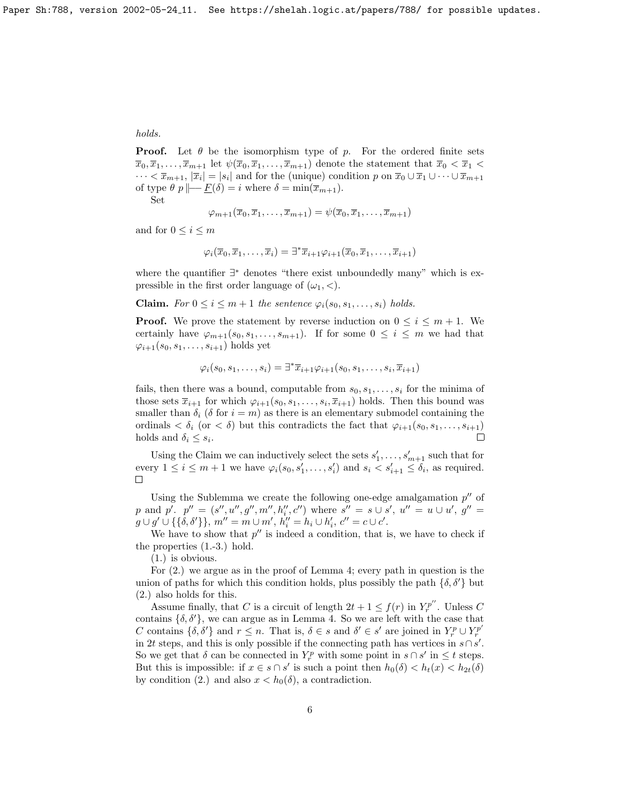#### holds.

**Proof.** Let  $\theta$  be the isomorphism type of p. For the ordered finite sets  $\overline{x}_0, \overline{x}_1, \ldots, \overline{x}_{m+1}$  let  $\psi(\overline{x}_0, \overline{x}_1, \ldots, \overline{x}_{m+1})$  denote the statement that  $\overline{x}_0 < \overline{x}_1 <$  $\cdots < \bar{x}_{m+1}, |\bar{x}_i| = |s_i|$  and for the (unique) condition p on  $\bar{x}_0 \cup \bar{x}_1 \cup \cdots \cup \bar{x}_{m+1}$ of type  $\theta p \mid -E(\delta) = i$  where  $\delta = \min(\overline{x}_{m+1})$ .

Set

$$
\varphi_{m+1}(\overline{x}_0,\overline{x}_1,\ldots,\overline{x}_{m+1})=\psi(\overline{x}_0,\overline{x}_1,\ldots,\overline{x}_{m+1})
$$

and for  $0 \leq i \leq m$ 

$$
\varphi_i(\overline{x}_0, \overline{x}_1, \dots, \overline{x}_i) = \exists^* \overline{x}_{i+1} \varphi_{i+1}(\overline{x}_0, \overline{x}_1, \dots, \overline{x}_{i+1})
$$

where the quantifier ∃ <sup>∗</sup> denotes "there exist unboundedly many" which is expressible in the first order language of  $(\omega_1, <)$ .

**Claim.** For  $0 \leq i \leq m+1$  the sentence  $\varphi_i(s_0, s_1, \ldots, s_i)$  holds.

**Proof.** We prove the statement by reverse induction on  $0 \leq i \leq m+1$ . We certainly have  $\varphi_{m+1}(s_0, s_1, \ldots, s_{m+1})$ . If for some  $0 \leq i \leq m$  we had that  $\varphi_{i+1}(s_0, s_1, \ldots, s_{i+1})$  holds yet

$$
\varphi_i(s_0, s_1, \ldots, s_i) = \exists^* \overline{x}_{i+1} \varphi_{i+1}(s_0, s_1, \ldots, s_i, \overline{x}_{i+1})
$$

fails, then there was a bound, computable from  $s_0, s_1, \ldots, s_i$  for the minima of those sets  $\overline{x}_{i+1}$  for which  $\varphi_{i+1}(s_0, s_1, \ldots, s_i, \overline{x}_{i+1})$  holds. Then this bound was smaller than  $\delta_i$  ( $\delta$  for  $i = m$ ) as there is an elementary submodel containing the ordinals  $\langle \delta_i \rangle$  (or  $\langle \delta \rangle$ ) but this contradicts the fact that  $\varphi_{i+1}(s_0, s_1, \ldots, s_{i+1})$ holds and  $\delta_i \leq s_i$ . П

Using the Claim we can inductively select the sets  $s'_1, \ldots, s'_{m+1}$  such that for every  $1 \leq i \leq m+1$  we have  $\varphi_i(s_0, s'_1, \ldots, s'_i)$  and  $s_i < s'_{i+1} \leq \delta_i$ , as required.  $\Box$ 

Using the Sublemma we create the following one-edge amalgamation  $p''$  of p and p'.  $p'' = (s'', u'', g'', m'', h''_i, c'')$  where  $s'' = s \cup s', u'' = u \cup u', g'' = s$  $g \cup g' \cup \{\{\delta, \delta'\}\}, m'' = m \cup m', h''_i = h_i \cup h'_i, c'' = c \cup c'.$ 

We have to show that  $p''$  is indeed a condition, that is, we have to check if the properties (1.-3.) hold.

(1.) is obvious.

For (2.) we argue as in the proof of Lemma 4; every path in question is the union of paths for which this condition holds, plus possibly the path  $\{\delta, \delta'\}$  but (2.) also holds for this.

Assume finally, that C is a circuit of length  $2t + 1 \le f(r)$  in  $Y_r^{p''}$ . Unless C contains  $\{\delta, \delta'\}$ , we can argue as in Lemma 4. So we are left with the case that C contains  $\{\delta, \delta'\}$  and  $r \leq n$ . That is,  $\delta \in s$  and  $\delta' \in s'$  are joined in  $Y_r^p \cup Y_r^{p'}$ in 2t steps, and this is only possible if the connecting path has vertices in  $s \cap s'$ . So we get that  $\delta$  can be connected in  $Y_r^p$  with some point in  $s \cap s'$  in  $\leq t$  steps. But this is impossible: if  $x \in s \cap s'$  is such a point then  $h_0(\delta) < h_t(x) < h_{2t}(\delta)$ by condition (2.) and also  $x < h_0(\delta)$ , a contradiction.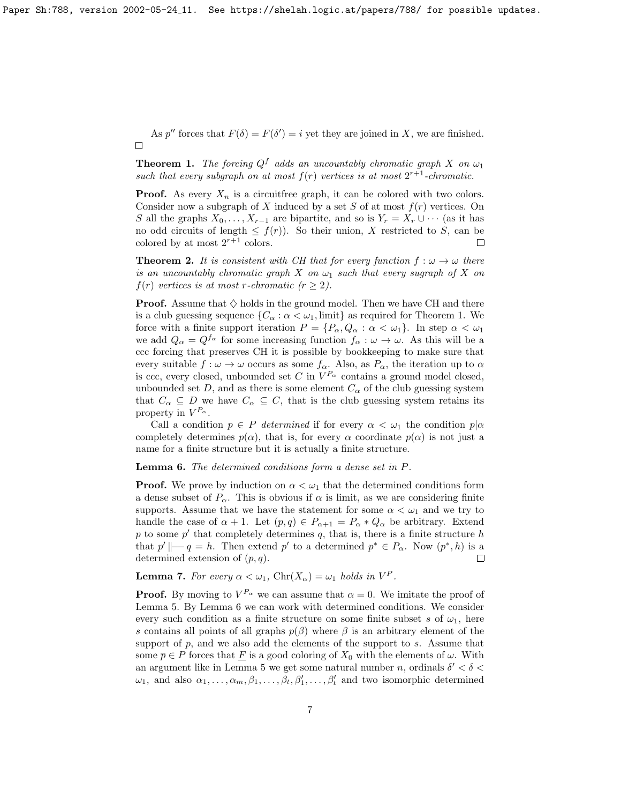As p'' forces that  $F(\delta) = F(\delta') = i$  yet they are joined in X, we are finished.  $\Box$ 

**Theorem 1.** The forcing  $Q^f$  adds an uncountably chromatic graph X on  $\omega_1$ such that every subgraph on at most  $f(r)$  vertices is at most  $2^{r+1}$ -chromatic.

**Proof.** As every  $X_n$  is a circuitfree graph, it can be colored with two colors. Consider now a subgraph of X induced by a set S of at most  $f(r)$  vertices. On S all the graphs  $X_0, \ldots, X_{r-1}$  are bipartite, and so is  $Y_r = X_r \cup \cdots$  (as it has no odd circuits of length  $\leq f(r)$ ). So their union, X restricted to S, can be colored by at most  $2^{r+1}$  colors.  $\Box$ 

**Theorem 2.** It is consistent with CH that for every function  $f : \omega \to \omega$  there is an uncountably chromatic graph X on  $\omega_1$  such that every sugraph of X on  $f(r)$  vertices is at most r-chromatic  $(r \geq 2)$ .

**Proof.** Assume that  $\diamondsuit$  holds in the ground model. Then we have CH and there is a club guessing sequence  $\{C_{\alpha} : \alpha < \omega_1, \text{limit}\}\$ as required for Theorem 1. We force with a finite support iteration  $P = \{P_{\alpha}, Q_{\alpha} : \alpha < \omega_1\}$ . In step  $\alpha < \omega_1$ we add  $Q_{\alpha} = Q^{f_{\alpha}}$  for some increasing function  $f_{\alpha}: \omega \to \omega$ . As this will be a ccc forcing that preserves CH it is possible by bookkeeping to make sure that every suitable  $f : \omega \to \omega$  occurs as some  $f_{\alpha}$ . Also, as  $P_{\alpha}$ , the iteration up to  $\alpha$ is ccc, every closed, unbounded set C in  $V^{P_{\alpha}}$  contains a ground model closed, unbounded set D, and as there is some element  $C_{\alpha}$  of the club guessing system that  $C_{\alpha} \subseteq D$  we have  $C_{\alpha} \subseteq C$ , that is the club guessing system retains its property in  $V^{P_\alpha}$ .

Call a condition  $p \in P$  determined if for every  $\alpha < \omega_1$  the condition  $p | \alpha$ completely determines  $p(\alpha)$ , that is, for every  $\alpha$  coordinate  $p(\alpha)$  is not just a name for a finite structure but it is actually a finite structure.

#### Lemma 6. The determined conditions form a dense set in P.

**Proof.** We prove by induction on  $\alpha < \omega_1$  that the determined conditions form a dense subset of  $P_{\alpha}$ . This is obvious if  $\alpha$  is limit, as we are considering finite supports. Assume that we have the statement for some  $\alpha < \omega_1$  and we try to handle the case of  $\alpha + 1$ . Let  $(p, q) \in P_{\alpha+1} = P_{\alpha} * Q_{\alpha}$  be arbitrary. Extend  $p$  to some  $p'$  that completely determines  $q$ , that is, there is a finite structure  $h$ that  $p' \parallel -q = h$ . Then extend  $p'$  to a determined  $p^* \in P_\alpha$ . Now  $(p^*, h)$  is a determined extension of  $(p, q)$ .  $\Box$ 

**Lemma 7.** For every  $\alpha < \omega_1$ , Chr $(X_{\alpha}) = \omega_1$  holds in  $V^P$ .

**Proof.** By moving to  $V^{P_\alpha}$  we can assume that  $\alpha = 0$ . We imitate the proof of Lemma 5. By Lemma 6 we can work with determined conditions. We consider every such condition as a finite structure on some finite subset s of  $\omega_1$ , here s contains all points of all graphs  $p(\beta)$  where  $\beta$  is an arbitrary element of the support of  $p$ , and we also add the elements of the support to  $s$ . Assume that some  $\overline{p} \in P$  forces that F is a good coloring of  $X_0$  with the elements of  $\omega$ . With an argument like in Lemma 5 we get some natural number n, ordinals  $\delta' < \delta <$  $\omega_1$ , and also  $\alpha_1, \ldots, \alpha_m, \beta_1, \ldots, \beta_t, \beta'_1, \ldots, \beta'_t$  and two isomorphic determined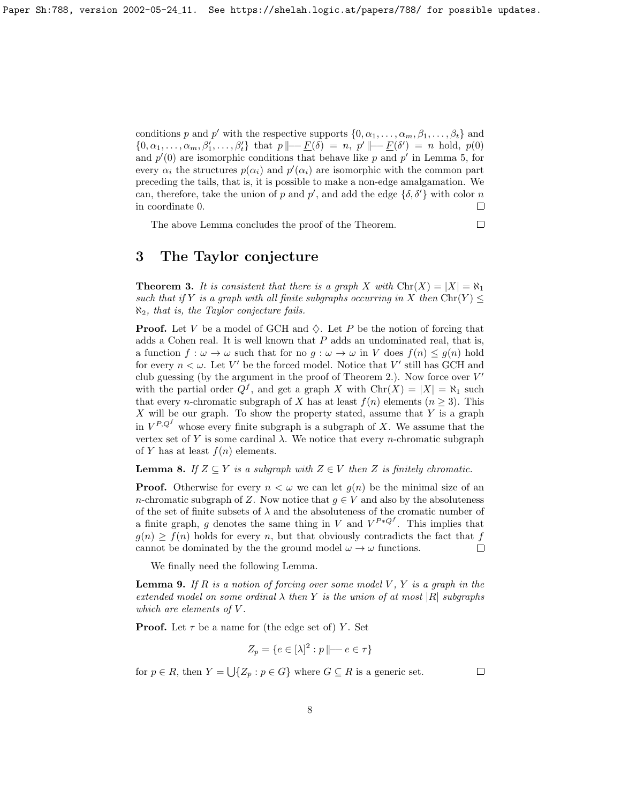conditions p and p' with the respective supports  $\{0, \alpha_1, \ldots, \alpha_m, \beta_1, \ldots, \beta_t\}$  and  $\{0, \alpha_1, \ldots, \alpha_m, \beta'_1, \ldots, \beta'_t\}$  that  $p \mid \mid -\underline{F}(\delta) = n$ ,  $p' \mid \mid -\underline{F}(\delta') = n$  hold,  $p(0)$ and  $p'(0)$  are isomorphic conditions that behave like p and p' in Lemma 5, for every  $\alpha_i$  the structures  $p(\alpha_i)$  and  $p'(\alpha_i)$  are isomorphic with the common part preceding the tails, that is, it is possible to make a non-edge amalgamation. We can, therefore, take the union of p and  $p'$ , and add the edge  $\{\delta, \delta'\}$  with color n in coordinate 0.  $\Box$ 

The above Lemma concludes the proof of the Theorem.

$$
\Box
$$

## 3 The Taylor conjecture

**Theorem 3.** It is consistent that there is a graph X with  $\text{Chr}(X) = |X| = \aleph_1$ such that if Y is a graph with all finite subgraphs occurring in X then Chr(Y)  $\leq$  $\aleph_2$ , that is, the Taylor conjecture fails.

**Proof.** Let V be a model of GCH and  $\diamondsuit$ . Let P be the notion of forcing that adds a Cohen real. It is well known that  $P$  adds an undominated real, that is, a function  $f: \omega \to \omega$  such that for no  $q: \omega \to \omega$  in V does  $f(n) \leq q(n)$  hold for every  $n < \omega$ . Let V' be the forced model. Notice that V' still has GCH and club guessing (by the argument in the proof of Theorem 2.). Now force over  $V'$ with the partial order  $Q^f$ , and get a graph X with  $\text{Chr}(X) = |X| = \aleph_1$  such that every *n*-chromatic subgraph of X has at least  $f(n)$  elements  $(n \geq 3)$ . This  $X$  will be our graph. To show the property stated, assume that  $Y$  is a graph in  $V^{P,Q^f}$  whose every finite subgraph is a subgraph of X. We assume that the vertex set of Y is some cardinal  $\lambda$ . We notice that every *n*-chromatic subgraph of Y has at least  $f(n)$  elements.

**Lemma 8.** If  $Z \subseteq Y$  is a subgraph with  $Z \in V$  then Z is finitely chromatic.

**Proof.** Otherwise for every  $n < \omega$  we can let  $g(n)$  be the minimal size of an n-chromatic subgraph of Z. Now notice that  $g \in V$  and also by the absoluteness of the set of finite subsets of  $\lambda$  and the absoluteness of the cromatic number of a finite graph, g denotes the same thing in V and  $V^{P*Q^f}$ . This implies that  $g(n) \geq f(n)$  holds for every n, but that obviously contradicts the fact that f cannot be dominated by the the ground model  $\omega \to \omega$  functions.  $\Box$ 

We finally need the following Lemma.

**Lemma 9.** If R is a notion of forcing over some model V, Y is a graph in the extended model on some ordinal  $\lambda$  then Y is the union of at most  $|R|$  subgraphs which are elements of  $V$ .

**Proof.** Let  $\tau$  be a name for (the edge set of) Y. Set

$$
Z_p = \{ e \in [\lambda]^2 : p \mid \mid -e \in \tau \}
$$

for  $p \in R$ , then  $Y = \bigcup \{Z_p : p \in G\}$  where  $G \subseteq R$  is a generic set.

 $\Box$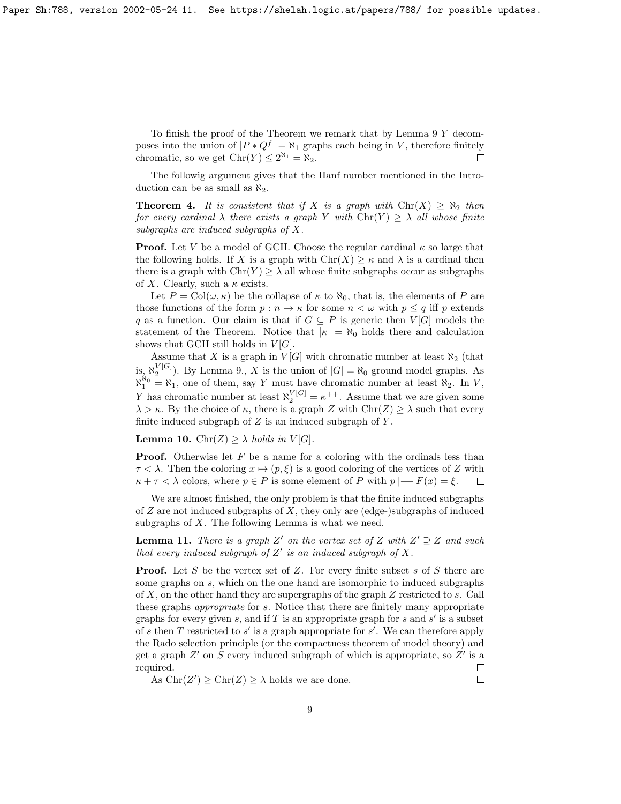To finish the proof of the Theorem we remark that by Lemma  $9 Y$  decomposes into the union of  $|P * Q^f| = \aleph_1$  graphs each being in V, therefore finitely chromatic, so we get  $\text{Chr}(Y) \leq 2^{\aleph_1} = \aleph_2$ .  $\Box$ 

The followig argument gives that the Hanf number mentioned in the Introduction can be as small as  $\aleph_2$ .

**Theorem 4.** It is consistent that if X is a graph with  $\text{Chr}(X) \geq \aleph_2$  then for every cardinal  $\lambda$  there exists a graph Y with  $\text{Chr}(Y) \geq \lambda$  all whose finite subgraphs are induced subgraphs of X.

**Proof.** Let V be a model of GCH. Choose the regular cardinal  $\kappa$  so large that the following holds. If X is a graph with  $\text{Chr}(X) \geq \kappa$  and  $\lambda$  is a cardinal then there is a graph with  $\text{Chr}(Y) \geq \lambda$  all whose finite subgraphs occur as subgraphs of X. Clearly, such a  $\kappa$  exists.

Let  $P = \text{Col}(\omega, \kappa)$  be the collapse of  $\kappa$  to  $\aleph_0$ , that is, the elements of P are those functions of the form  $p : n \to \kappa$  for some  $n < \omega$  with  $p \leq q$  iff p extends q as a function. Our claim is that if  $G \subseteq P$  is generic then  $V[G]$  models the statement of the Theorem. Notice that  $|\kappa| = \aleph_0$  holds there and calculation shows that GCH still holds in  $V[G]$ .

Assume that X is a graph in  $V[G]$  with chromatic number at least  $\aleph_2$  (that is,  $\aleph_2^{\text{V}[G]}$ ). By Lemma 9., X is the union of  $|G| = \aleph_0$  ground model graphs. As  $\aleph_1^{\aleph_0} = \aleph_1$ , one of them, say Y must have chromatic number at least  $\aleph_2$ . In V, Y has chromatic number at least  $\aleph_2^{\text{V}[G]} = \kappa^{++}$ . Assume that we are given some  $\lambda > \kappa$ . By the choice of  $\kappa$ , there is a graph Z with  $\text{Chr}(Z) \geq \lambda$  such that every finite induced subgraph of  $Z$  is an induced subgraph of  $Y$ .

**Lemma 10.**  $\text{Chr}(Z) \geq \lambda \text{ holds in } V[G].$ 

**Proof.** Otherwise let  $\underline{F}$  be a name for a coloring with the ordinals less than  $\tau < \lambda$ . Then the coloring  $x \mapsto (p, \xi)$  is a good coloring of the vertices of Z with  $\kappa + \tau < \lambda$  colors, where  $p \in P$  is some element of P with  $p \mid -F(x) = \xi$ .  $\Box$ 

We are almost finished, the only problem is that the finite induced subgraphs of  $Z$  are not induced subgraphs of  $X$ , they only are (edge-)subgraphs of induced subgraphs of  $X$ . The following Lemma is what we need.

**Lemma 11.** There is a graph Z' on the vertex set of Z with  $Z' \supseteq Z$  and such that every induced subgraph of  $Z'$  is an induced subgraph of  $X$ .

**Proof.** Let S be the vertex set of Z. For every finite subset s of S there are some graphs on s, which on the one hand are isomorphic to induced subgraphs of X, on the other hand they are supergraphs of the graph Z restricted to s. Call these graphs appropriate for s. Notice that there are finitely many appropriate graphs for every given  $s$ , and if  $T$  is an appropriate graph for  $s$  and  $s'$  is a subset of s then  $T$  restricted to  $s'$  is a graph appropriate for  $s'$ . We can therefore apply the Rado selection principle (or the compactness theorem of model theory) and get a graph  $Z'$  on  $S$  every induced subgraph of which is appropriate, so  $Z'$  is a required.  $\Box$ 

As  $\text{Chr}(Z') \geq \text{Chr}(Z) \geq \lambda$  holds we are done.

 $\Box$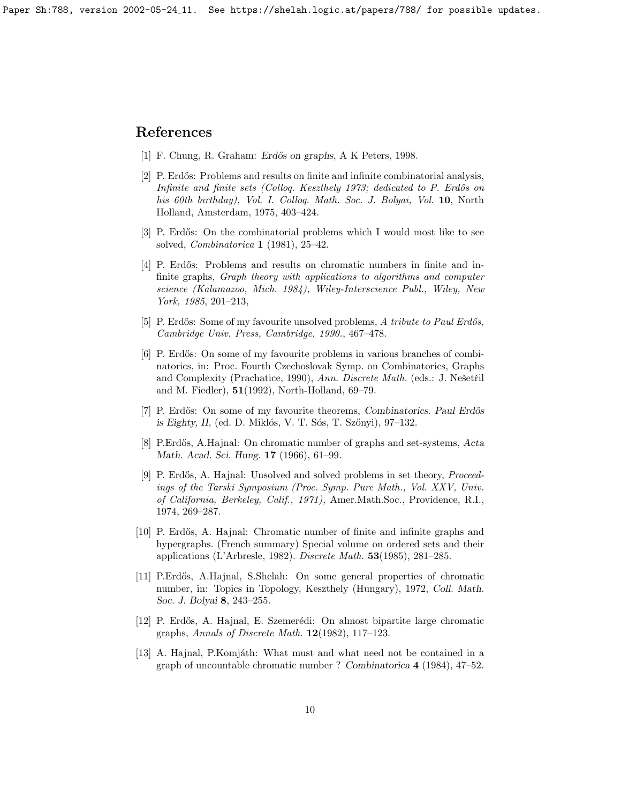Paper Sh:788, version 2002-05-24 11. See https://shelah.logic.at/papers/788/ for possible updates.

### References

- <span id="page-9-8"></span>[1] F. Chung, R. Graham: Erdős on graphs, A K Peters, 1998.
- <span id="page-9-3"></span>[2] P. Erdős: Problems and results on finite and infinite combinatorial analysis, Infinite and finite sets (Colloq. Keszthely 1973; dedicated to P. Erdős on his 60th birthday), Vol. I. Colloq. Math. Soc. J. Bolyai, Vol. 10, North Holland, Amsterdam, 1975, 403–424.
- <span id="page-9-9"></span>[3] P. Erdős: On the combinatorial problems which I would most like to see solved, Combinatorica 1 (1981), 25–42.
- <span id="page-9-10"></span>[4] P. Erdős: Problems and results on chromatic numbers in finite and infinite graphs, Graph theory with applications to algorithms and computer science (Kalamazoo, Mich. 1984), Wiley-Interscience Publ., Wiley, New York, 1985, 201–213,
- <span id="page-9-4"></span>[5] P. Erdős: Some of my favourite unsolved problems, A tribute to Paul Erdős, Cambridge Univ. Press, Cambridge, 1990., 467–478.
- <span id="page-9-5"></span>[6] P. Erdős: On some of my favourite problems in various branches of combinatorics, in: Proc. Fourth Czechoslovak Symp. on Combinatorics, Graphs and Complexity (Prachatice, 1990), Ann. Discrete Math. (eds.: J. Nešetřil and M. Fiedler), 51(1992), North-Holland, 69–79.
- <span id="page-9-11"></span>[7] P. Erdős: On some of my favourite theorems, Combinatorics. Paul Erdős is Eighty, II, (ed. D. Miklós, V. T. Sós, T. Szőnyi),  $97-132$ .
- <span id="page-9-0"></span>[8] P.Erdős, A.Hajnal: On chromatic number of graphs and set-systems, Acta Math. Acad. Sci. Hung. 17 (1966), 61–99.
- <span id="page-9-12"></span>[9] P. Erdős, A. Hajnal: Unsolved and solved problems in set theory, *Proceed*ings of the Tarski Symposium (Proc. Symp. Pure Math., Vol. XXV, Univ. of California, Berkeley, Calif., 1971), Amer.Math.Soc., Providence, R.I., 1974, 269–287.
- <span id="page-9-6"></span>[10] P. Erd˝os, A. Hajnal: Chromatic number of finite and infinite graphs and hypergraphs. (French summary) Special volume on ordered sets and their applications (L'Arbresle, 1982). Discrete Math. 53(1985), 281–285.
- <span id="page-9-1"></span>[11] P.Erdős, A.Hajnal, S.Shelah: On some general properties of chromatic number, in: Topics in Topology, Keszthely (Hungary), 1972, Coll. Math. Soc. J. Bolyai 8, 243–255.
- <span id="page-9-7"></span>[12] P. Erd˝os, A. Hajnal, E. Szemer´edi: On almost bipartite large chromatic graphs, Annals of Discrete Math. 12(1982), 117–123.
- <span id="page-9-2"></span>[13] A. Hajnal, P. Komjáth: What must and what need not be contained in a graph of uncountable chromatic number ? Combinatorica 4 (1984), 47–52.